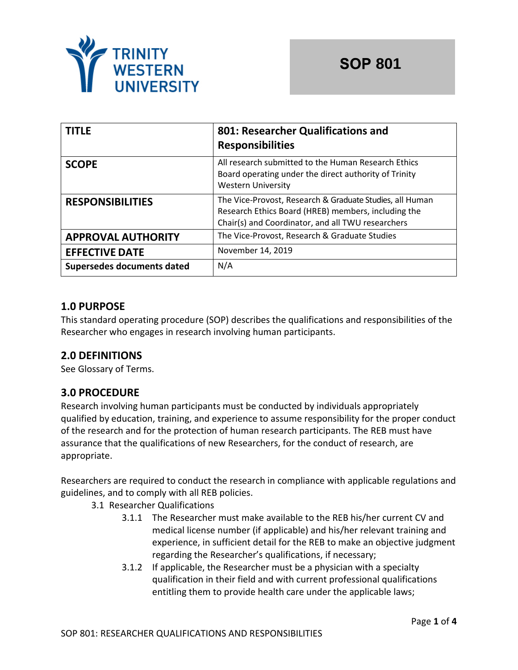

| <b>TITLE</b>                      | 801: Researcher Qualifications and<br><b>Responsibilities</b>                                                                                                        |
|-----------------------------------|----------------------------------------------------------------------------------------------------------------------------------------------------------------------|
| <b>SCOPE</b>                      | All research submitted to the Human Research Ethics<br>Board operating under the direct authority of Trinity<br><b>Western University</b>                            |
| <b>RESPONSIBILITIES</b>           | The Vice-Provost, Research & Graduate Studies, all Human<br>Research Ethics Board (HREB) members, including the<br>Chair(s) and Coordinator, and all TWU researchers |
| <b>APPROVAL AUTHORITY</b>         | The Vice-Provost, Research & Graduate Studies                                                                                                                        |
| <b>EFFECTIVE DATE</b>             | November 14, 2019                                                                                                                                                    |
| <b>Supersedes documents dated</b> | N/A                                                                                                                                                                  |

### **1.0 PURPOSE**

This standard operating procedure (SOP) describes the qualifications and responsibilities of the Researcher who engages in research involving human participants.

# **2.0 DEFINITIONS**

See Glossary of Terms.

#### **3.0 PROCEDURE**

Research involving human participants must be conducted by individuals appropriately qualified by education, training, and experience to assume responsibility for the proper conduct of the research and for the protection of human research participants. The REB must have assurance that the qualifications of new Researchers, for the conduct of research, are appropriate.

Researchers are required to conduct the research in compliance with applicable regulations and guidelines, and to comply with all REB policies.

- 3.1 Researcher Qualifications
	- 3.1.1 The Researcher must make available to the REB his/her current CV and medical license number (if applicable) and his/her relevant training and experience, in sufficient detail for the REB to make an objective judgment regarding the Researcher's qualifications, if necessary;
	- 3.1.2 If applicable, the Researcher must be a physician with a specialty qualification in their field and with current professional qualifications entitling them to provide health care under the applicable laws;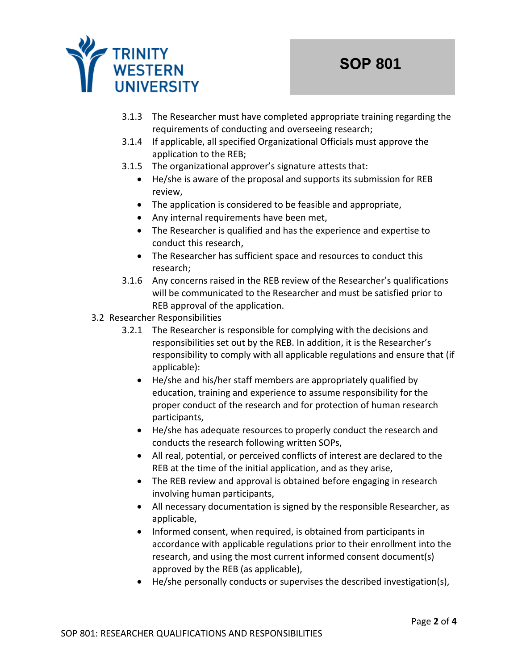

- 3.1.3 The Researcher must have completed appropriate training regarding the requirements of conducting and overseeing research;
- 3.1.4 If applicable, all specified Organizational Officials must approve the application to the REB;
- 3.1.5 The organizational approver's signature attests that:
	- He/she is aware of the proposal and supports its submission for REB review,
	- The application is considered to be feasible and appropriate,
	- Any internal requirements have been met,
	- The Researcher is qualified and has the experience and expertise to conduct this research,
	- The Researcher has sufficient space and resources to conduct this research;
- 3.1.6 Any concerns raised in the REB review of the Researcher's qualifications will be communicated to the Researcher and must be satisfied prior to REB approval of the application.
- 3.2 Researcher Responsibilities
	- 3.2.1 The Researcher is responsible for complying with the decisions and responsibilities set out by the REB. In addition, it is the Researcher's responsibility to comply with all applicable regulations and ensure that (if applicable):
		- He/she and his/her staff members are appropriately qualified by education, training and experience to assume responsibility for the proper conduct of the research and for protection of human research participants,
		- He/she has adequate resources to properly conduct the research and conducts the research following written SOPs,
		- All real, potential, or perceived conflicts of interest are declared to the REB at the time of the initial application, and as they arise,
		- The REB review and approval is obtained before engaging in research involving human participants,
		- All necessary documentation is signed by the responsible Researcher, as applicable,
		- Informed consent, when required, is obtained from participants in accordance with applicable regulations prior to their enrollment into the research, and using the most current informed consent document(s) approved by the REB (as applicable),
		- He/she personally conducts or supervises the described investigation(s),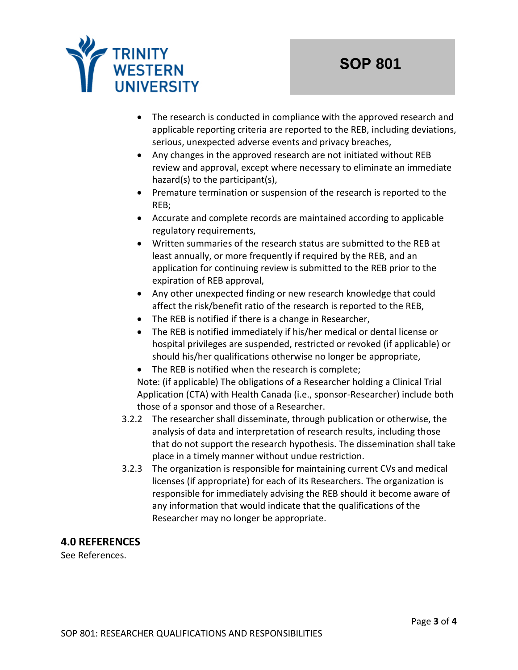

- The research is conducted in compliance with the approved research and applicable reporting criteria are reported to the REB, including deviations, serious, unexpected adverse events and privacy breaches,
- Any changes in the approved research are not initiated without REB review and approval, except where necessary to eliminate an immediate hazard(s) to the participant(s),
- Premature termination or suspension of the research is reported to the REB;
- Accurate and complete records are maintained according to applicable regulatory requirements,
- Written summaries of the research status are submitted to the REB at least annually, or more frequently if required by the REB, and an application for continuing review is submitted to the REB prior to the expiration of REB approval,
- Any other unexpected finding or new research knowledge that could affect the risk/benefit ratio of the research is reported to the REB,
- The REB is notified if there is a change in Researcher,
- The REB is notified immediately if his/her medical or dental license or hospital privileges are suspended, restricted or revoked (if applicable) or should his/her qualifications otherwise no longer be appropriate,
- The REB is notified when the research is complete; Note: (if applicable) The obligations of a Researcher holding a Clinical Trial Application (CTA) with Health Canada (i.e., sponsor-Researcher) include both those of a sponsor and those of a Researcher.
- 3.2.2 The researcher shall disseminate, through publication or otherwise, the analysis of data and interpretation of research results, including those that do not support the research hypothesis. The dissemination shall take place in a timely manner without undue restriction.
- 3.2.3 The organization is responsible for maintaining current CVs and medical licenses (if appropriate) for each of its Researchers. The organization is responsible for immediately advising the REB should it become aware of any information that would indicate that the qualifications of the Researcher may no longer be appropriate.

#### **4.0 REFERENCES**

See References.